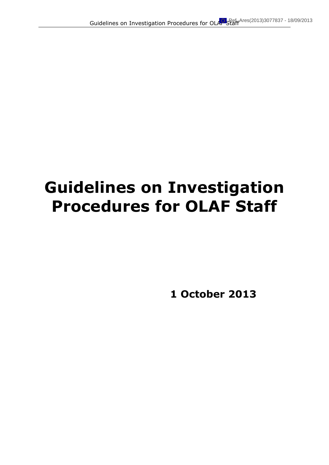# **Guidelines on Investigation Procedures for OLAF Staff**

**1 October 2013**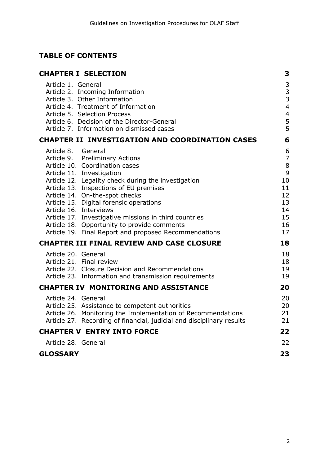# **TABLE OF CONTENTS**

| <b>CHAPTER I SELECTION</b>                                                                                                                                                                                                                                                                                                                                                                                                                                                                   | 3                                                                                    |
|----------------------------------------------------------------------------------------------------------------------------------------------------------------------------------------------------------------------------------------------------------------------------------------------------------------------------------------------------------------------------------------------------------------------------------------------------------------------------------------------|--------------------------------------------------------------------------------------|
| Article 1. General<br>Article 2. Incoming Information<br>Article 3. Other Information<br>Article 4. Treatment of Information<br>Article 5. Selection Process<br>Article 6. Decision of the Director-General<br>Article 7. Information on dismissed cases                                                                                                                                                                                                                                     | $\mathsf 3$<br>3<br>3<br>$\overline{4}$<br>$\overline{\mathcal{L}}$<br>$\frac{5}{5}$ |
| <b>CHAPTER II INVESTIGATION AND COORDINATION CASES</b>                                                                                                                                                                                                                                                                                                                                                                                                                                       | 6                                                                                    |
| Article 8. General<br>Article 9. Preliminary Actions<br>Article 10. Coordination cases<br>Article 11. Investigation<br>Article 12. Legality check during the investigation<br>Article 13. Inspections of EU premises<br>Article 14. On-the-spot checks<br>Article 15. Digital forensic operations<br>Article 16. Interviews<br>Article 17. Investigative missions in third countries<br>Article 18. Opportunity to provide comments<br>Article 19. Final Report and proposed Recommendations | 6<br>$\overline{7}$<br>$\,8\,$<br>9<br>10<br>11<br>12<br>13<br>14<br>15<br>16<br>17  |
| <b>CHAPTER III FINAL REVIEW AND CASE CLOSURE</b>                                                                                                                                                                                                                                                                                                                                                                                                                                             | 18                                                                                   |
| Article 20. General<br>Article 21. Final review<br>Article 22. Closure Decision and Recommendations<br>Article 23. Information and transmission requirements                                                                                                                                                                                                                                                                                                                                 | 18<br>18<br>19<br>19                                                                 |
| <b>CHAPTER IV MONITORING AND ASSISTANCE</b>                                                                                                                                                                                                                                                                                                                                                                                                                                                  | 20                                                                                   |
| Article 24. General<br>Article 25. Assistance to competent authorities<br>Article 26. Monitoring the Implementation of Recommendations<br>Article 27. Recording of financial, judicial and disciplinary results                                                                                                                                                                                                                                                                              | 20<br>20<br>21<br>21                                                                 |
| <b>CHAPTER V ENTRY INTO FORCE</b>                                                                                                                                                                                                                                                                                                                                                                                                                                                            | 22                                                                                   |
| Article 28. General                                                                                                                                                                                                                                                                                                                                                                                                                                                                          | 22                                                                                   |
| <b>GLOSSARY</b>                                                                                                                                                                                                                                                                                                                                                                                                                                                                              | 23                                                                                   |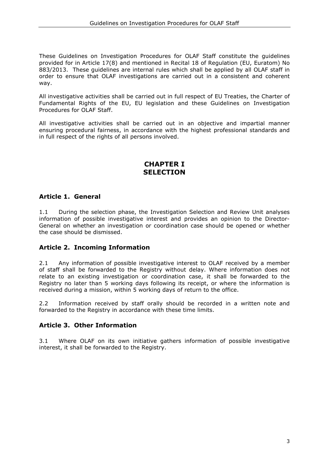These Guidelines on Investigation Procedures for OLAF Staff constitute the guidelines provided for in Article 17(8) and mentioned in Recital 18 of Regulation (EU, Euratom) No 883/2013. These guidelines are internal rules which shall be applied by all OLAF staff in order to ensure that OLAF investigations are carried out in a consistent and coherent way.

All investigative activities shall be carried out in full respect of EU Treaties, the Charter of Fundamental Rights of the EU, EU legislation and these Guidelines on Investigation Procedures for OLAF Staff.

All investigative activities shall be carried out in an objective and impartial manner ensuring procedural fairness, in accordance with the highest professional standards and in full respect of the rights of all persons involved.

# **CHAPTER I SELECTION**

## **Article 1. General**

1.1 During the selection phase, the Investigation Selection and Review Unit analyses information of possible investigative interest and provides an opinion to the Director-General on whether an investigation or coordination case should be opened or whether the case should be dismissed.

## **Article 2. Incoming Information**

2.1 Any information of possible investigative interest to OLAF received by a member of staff shall be forwarded to the Registry without delay. Where information does not relate to an existing investigation or coordination case, it shall be forwarded to the Registry no later than 5 working days following its receipt, or where the information is received during a mission, within 5 working days of return to the office.

2.2 Information received by staff orally should be recorded in a written note and forwarded to the Registry in accordance with these time limits.

## **Article 3. Other Information**

3.1 Where OLAF on its own initiative gathers information of possible investigative interest, it shall be forwarded to the Registry.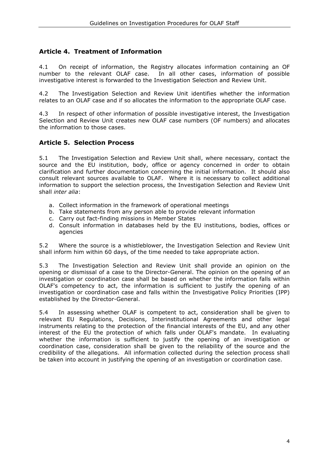# **Article 4. Treatment of Information**

4.1 On receipt of information, the Registry allocates information containing an OF number to the relevant OLAF case. In all other cases, information of possible investigative interest is forwarded to the Investigation Selection and Review Unit.

4.2 The Investigation Selection and Review Unit identifies whether the information relates to an OLAF case and if so allocates the information to the appropriate OLAF case.

4.3 In respect of other information of possible investigative interest, the Investigation Selection and Review Unit creates new OLAF case numbers (OF numbers) and allocates the information to those cases.

## **Article 5. Selection Process**

5.1 The Investigation Selection and Review Unit shall, where necessary, contact the source and the EU institution, body, office or agency concerned in order to obtain clarification and further documentation concerning the initial information. It should also consult relevant sources available to OLAF. Where it is necessary to collect additional information to support the selection process, the Investigation Selection and Review Unit shall *inter alia*:

- a. Collect information in the framework of operational meetings
- b. Take statements from any person able to provide relevant information
- c. Carry out fact-finding missions in Member States
- d. Consult information in databases held by the EU institutions, bodies, offices or agencies

5.2 Where the source is a whistleblower, the Investigation Selection and Review Unit shall inform him within 60 days, of the time needed to take appropriate action.

5.3 The Investigation Selection and Review Unit shall provide an opinion on the opening or dismissal of a case to the Director-General. The opinion on the opening of an investigation or coordination case shall be based on whether the information falls within OLAF's competency to act, the information is sufficient to justify the opening of an investigation or coordination case and falls within the Investigative Policy Priorities (IPP) established by the Director-General.

5.4 In assessing whether OLAF is competent to act, consideration shall be given to relevant EU Regulations, Decisions, Interinstitutional Agreements and other legal instruments relating to the protection of the financial interests of the EU, and any other interest of the EU the protection of which falls under OLAF's mandate. In evaluating whether the information is sufficient to justify the opening of an investigation or coordination case, consideration shall be given to the reliability of the source and the credibility of the allegations. All information collected during the selection process shall be taken into account in justifying the opening of an investigation or coordination case.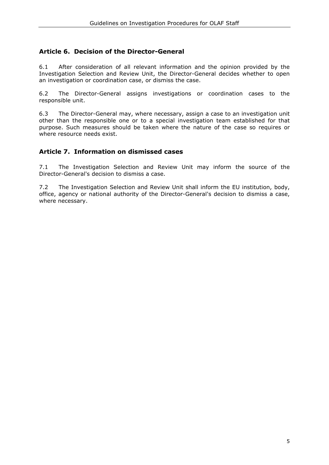# **Article 6. Decision of the Director-General**

6.1 After consideration of all relevant information and the opinion provided by the Investigation Selection and Review Unit, the Director-General decides whether to open an investigation or coordination case, or dismiss the case.

6.2 The Director-General assigns investigations or coordination cases to the responsible unit.

6.3 The Director-General may, where necessary, assign a case to an investigation unit other than the responsible one or to a special investigation team established for that purpose. Such measures should be taken where the nature of the case so requires or where resource needs exist.

## **Article 7. Information on dismissed cases**

7.1 The Investigation Selection and Review Unit may inform the source of the Director-General's decision to dismiss a case.

7.2 The Investigation Selection and Review Unit shall inform the EU institution, body, office, agency or national authority of the Director-General's decision to dismiss a case, where necessary.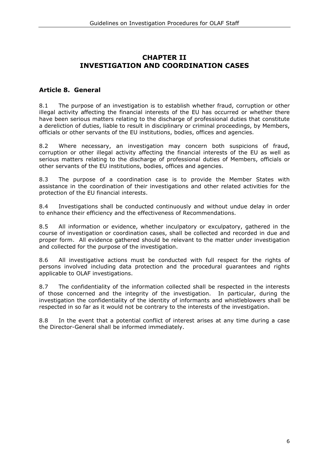# **CHAPTER II INVESTIGATION AND COORDINATION CASES**

## **Article 8. General**

8.1 The purpose of an investigation is to establish whether fraud, corruption or other illegal activity affecting the financial interests of the EU has occurred or whether there have been serious matters relating to the discharge of professional duties that constitute a dereliction of duties, liable to result in disciplinary or criminal proceedings, by Members, officials or other servants of the EU institutions, bodies, offices and agencies.

8.2 Where necessary, an investigation may concern both suspicions of fraud, corruption or other illegal activity affecting the financial interests of the EU as well as serious matters relating to the discharge of professional duties of Members, officials or other servants of the EU institutions, bodies, offices and agencies.

8.3 The purpose of a coordination case is to provide the Member States with assistance in the coordination of their investigations and other related activities for the protection of the EU financial interests.

8.4 Investigations shall be conducted continuously and without undue delay in order to enhance their efficiency and the effectiveness of Recommendations.

8.5 All information or evidence, whether inculpatory or exculpatory, gathered in the course of investigation or coordination cases, shall be collected and recorded in due and proper form. All evidence gathered should be relevant to the matter under investigation and collected for the purpose of the investigation.

8.6 All investigative actions must be conducted with full respect for the rights of persons involved including data protection and the procedural guarantees and rights applicable to OLAF investigations.

8.7 The confidentiality of the information collected shall be respected in the interests of those concerned and the integrity of the investigation. In particular, during the investigation the confidentiality of the identity of informants and whistleblowers shall be respected in so far as it would not be contrary to the interests of the investigation.

8.8 In the event that a potential conflict of interest arises at any time during a case the Director-General shall be informed immediately.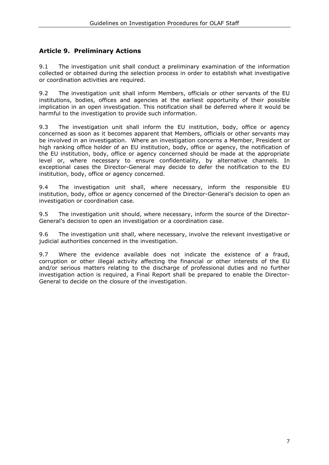# **Article 9. Preliminary Actions**

9.1 The investigation unit shall conduct a preliminary examination of the information collected or obtained during the selection process in order to establish what investigative or coordination activities are required.

9.2 The investigation unit shall inform Members, officials or other servants of the EU institutions, bodies, offices and agencies at the earliest opportunity of their possible implication in an open investigation. This notification shall be deferred where it would be harmful to the investigation to provide such information.

9.3 The investigation unit shall inform the EU institution, body, office or agency concerned as soon as it becomes apparent that Members, officials or other servants may be involved in an investigation. Where an investigation concerns a Member, President or high ranking office holder of an EU institution, body, office or agency, the notification of the EU institution, body, office or agency concerned should be made at the appropriate level or, where necessary to ensure confidentiality, by alternative channels. In exceptional cases the Director-General may decide to defer the notification to the EU institution, body, office or agency concerned.

9.4 The investigation unit shall, where necessary, inform the responsible EU institution, body, office or agency concerned of the Director-General's decision to open an investigation or coordination case.

9.5 The investigation unit should, where necessary, inform the source of the Director-General's decision to open an investigation or a coordination case.

9.6 The investigation unit shall, where necessary, involve the relevant investigative or judicial authorities concerned in the investigation.

9.7 Where the evidence available does not indicate the existence of a fraud, corruption or other illegal activity affecting the financial or other interests of the EU and/or serious matters relating to the discharge of professional duties and no further investigation action is required, a Final Report shall be prepared to enable the Director-General to decide on the closure of the investigation.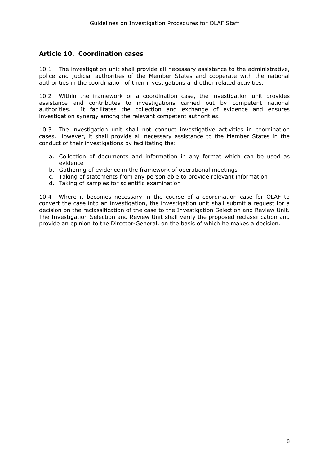# **Article 10. Coordination cases**

10.1 The investigation unit shall provide all necessary assistance to the administrative, police and judicial authorities of the Member States and cooperate with the national authorities in the coordination of their investigations and other related activities.

10.2 Within the framework of a coordination case, the investigation unit provides assistance and contributes to investigations carried out by competent national authorities. It facilitates the collection and exchange of evidence and ensures investigation synergy among the relevant competent authorities.

10.3 The investigation unit shall not conduct investigative activities in coordination cases. However, it shall provide all necessary assistance to the Member States in the conduct of their investigations by facilitating the:

- a. Collection of documents and information in any format which can be used as evidence
- b. Gathering of evidence in the framework of operational meetings
- c. Taking of statements from any person able to provide relevant information
- d. Taking of samples for scientific examination

10.4 Where it becomes necessary in the course of a coordination case for OLAF to convert the case into an investigation, the investigation unit shall submit a request for a decision on the reclassification of the case to the Investigation Selection and Review Unit. The Investigation Selection and Review Unit shall verify the proposed reclassification and provide an opinion to the Director-General, on the basis of which he makes a decision.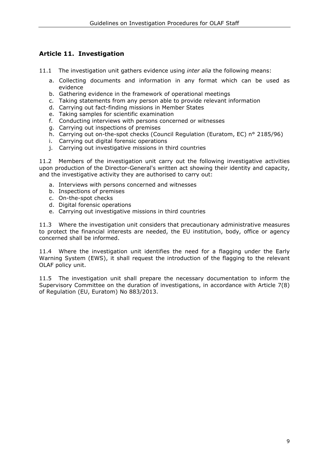# **Article 11. Investigation**

- 11.1 The investigation unit gathers evidence using *inter alia* the following means:
	- a. Collecting documents and information in any format which can be used as evidence
	- b. Gathering evidence in the framework of operational meetings
	- c. Taking statements from any person able to provide relevant information
	- d. Carrying out fact-finding missions in Member States
	- e. Taking samples for scientific examination
	- f. Conducting interviews with persons concerned or witnesses
	- g. Carrying out inspections of premises
	- h. Carrying out on-the-spot checks (Council Regulation (Euratom, EC) n° 2185/96)
	- i. Carrying out digital forensic operations
	- j. Carrying out investigative missions in third countries

11.2 Members of the investigation unit carry out the following investigative activities upon production of the Director-General's written act showing their identity and capacity, and the investigative activity they are authorised to carry out:

- a. Interviews with persons concerned and witnesses
- b. Inspections of premises
- c. On-the-spot checks
- d. Digital forensic operations
- e. Carrying out investigative missions in third countries

11.3 Where the investigation unit considers that precautionary administrative measures to protect the financial interests are needed, the EU institution, body, office or agency concerned shall be informed.

11.4 Where the investigation unit identifies the need for a flagging under the Early Warning System (EWS), it shall request the introduction of the flagging to the relevant OLAF policy unit.

11.5 The investigation unit shall prepare the necessary documentation to inform the Supervisory Committee on the duration of investigations, in accordance with Article 7(8) of Regulation (EU, Euratom) No 883/2013.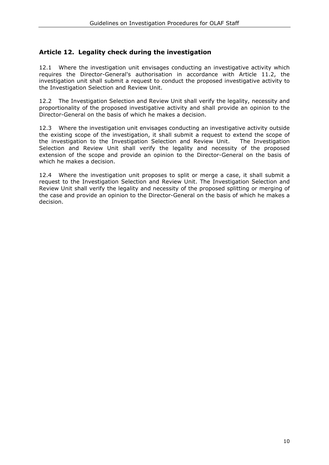# **Article 12. Legality check during the investigation**

12.1 Where the investigation unit envisages conducting an investigative activity which requires the Director-General's authorisation in accordance with Article 11.2, the investigation unit shall submit a request to conduct the proposed investigative activity to the Investigation Selection and Review Unit.

12.2 The Investigation Selection and Review Unit shall verify the legality, necessity and proportionality of the proposed investigative activity and shall provide an opinion to the Director-General on the basis of which he makes a decision.

12.3 Where the investigation unit envisages conducting an investigative activity outside the existing scope of the investigation, it shall submit a request to extend the scope of the investigation to the Investigation Selection and Review Unit. The Investigation Selection and Review Unit shall verify the legality and necessity of the proposed extension of the scope and provide an opinion to the Director-General on the basis of which he makes a decision.

12.4 Where the investigation unit proposes to split or merge a case, it shall submit a request to the Investigation Selection and Review Unit. The Investigation Selection and Review Unit shall verify the legality and necessity of the proposed splitting or merging of the case and provide an opinion to the Director-General on the basis of which he makes a decision.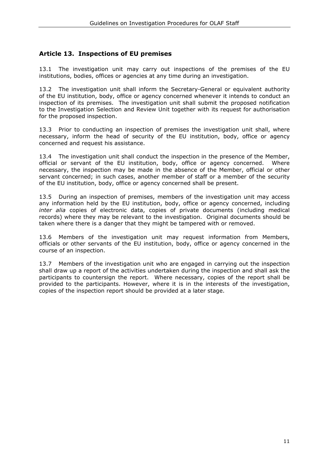# **Article 13. Inspections of EU premises**

13.1 The investigation unit may carry out inspections of the premises of the EU institutions, bodies, offices or agencies at any time during an investigation.

13.2 The investigation unit shall inform the Secretary-General or equivalent authority of the EU institution, body, office or agency concerned whenever it intends to conduct an inspection of its premises. The investigation unit shall submit the proposed notification to the Investigation Selection and Review Unit together with its request for authorisation for the proposed inspection.

13.3 Prior to conducting an inspection of premises the investigation unit shall, where necessary, inform the head of security of the EU institution, body, office or agency concerned and request his assistance.

13.4 The investigation unit shall conduct the inspection in the presence of the Member, official or servant of the EU institution, body, office or agency concerned. Where necessary, the inspection may be made in the absence of the Member, official or other servant concerned; in such cases, another member of staff or a member of the security of the EU institution, body, office or agency concerned shall be present.

13.5 During an inspection of premises, members of the investigation unit may access any information held by the EU institution, body, office or agency concerned, including *inter alia* copies of electronic data, copies of private documents (including medical records) where they may be relevant to the investigation. Original documents should be taken where there is a danger that they might be tampered with or removed.

13.6 Members of the investigation unit may request information from Members, officials or other servants of the EU institution, body, office or agency concerned in the course of an inspection.

13.7 Members of the investigation unit who are engaged in carrying out the inspection shall draw up a report of the activities undertaken during the inspection and shall ask the participants to countersign the report. Where necessary, copies of the report shall be provided to the participants. However, where it is in the interests of the investigation, copies of the inspection report should be provided at a later stage.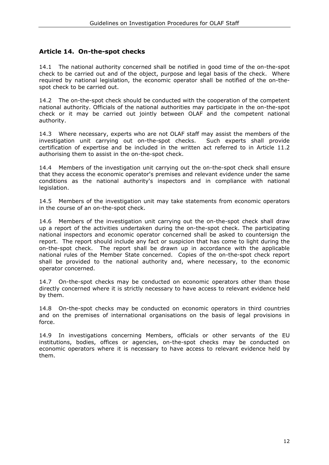# **Article 14. On-the-spot checks**

14.1 The national authority concerned shall be notified in good time of the on-the-spot check to be carried out and of the object, purpose and legal basis of the check. Where required by national legislation, the economic operator shall be notified of the on-thespot check to be carried out.

14.2 The on-the-spot check should be conducted with the cooperation of the competent national authority. Officials of the national authorities may participate in the on-the-spot check or it may be carried out jointly between OLAF and the competent national authority.

14.3 Where necessary, experts who are not OLAF staff may assist the members of the investigation unit carrying out on-the-spot checks. Such experts shall provide certification of expertise and be included in the written act referred to in Article 11.2 authorising them to assist in the on-the-spot check.

14.4 Members of the investigation unit carrying out the on-the-spot check shall ensure that they access the economic operator's premises and relevant evidence under the same conditions as the national authority's inspectors and in compliance with national legislation.

14.5 Members of the investigation unit may take statements from economic operators in the course of an on-the-spot check.

14.6 Members of the investigation unit carrying out the on-the-spot check shall draw up a report of the activities undertaken during the on-the-spot check. The participating national inspectors and economic operator concerned shall be asked to countersign the report. The report should include any fact or suspicion that has come to light during the on-the-spot check. The report shall be drawn up in accordance with the applicable national rules of the Member State concerned. Copies of the on-the-spot check report shall be provided to the national authority and, where necessary, to the economic operator concerned.

14.7 On-the-spot checks may be conducted on economic operators other than those directly concerned where it is strictly necessary to have access to relevant evidence held by them.

14.8 On-the-spot checks may be conducted on economic operators in third countries and on the premises of international organisations on the basis of legal provisions in force.

14.9 In investigations concerning Members, officials or other servants of the EU institutions, bodies, offices or agencies, on-the-spot checks may be conducted on economic operators where it is necessary to have access to relevant evidence held by them.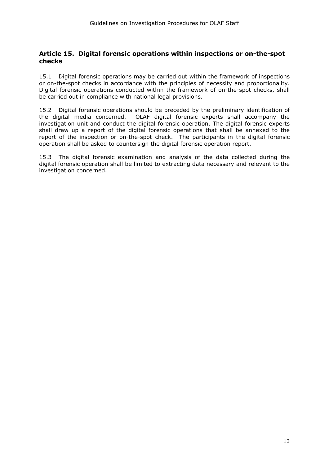## **Article 15. Digital forensic operations within inspections or on-the-spot checks**

15.1 Digital forensic operations may be carried out within the framework of inspections or on-the-spot checks in accordance with the principles of necessity and proportionality. Digital forensic operations conducted within the framework of on-the-spot checks, shall be carried out in compliance with national legal provisions.

15.2 Digital forensic operations should be preceded by the preliminary identification of the digital media concerned. OLAF digital forensic experts shall accompany the investigation unit and conduct the digital forensic operation. The digital forensic experts shall draw up a report of the digital forensic operations that shall be annexed to the report of the inspection or on-the-spot check. The participants in the digital forensic operation shall be asked to countersign the digital forensic operation report.

15.3 The digital forensic examination and analysis of the data collected during the digital forensic operation shall be limited to extracting data necessary and relevant to the investigation concerned.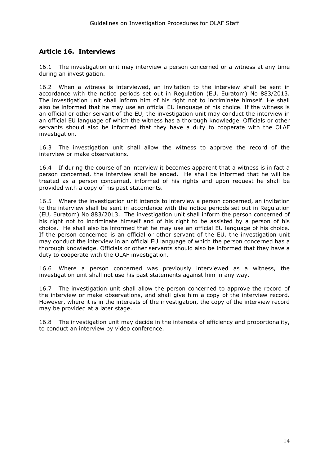# **Article 16. Interviews**

16.1 The investigation unit may interview a person concerned or a witness at any time during an investigation.

16.2 When a witness is interviewed, an invitation to the interview shall be sent in accordance with the notice periods set out in Regulation (EU, Euratom) No 883/2013. The investigation unit shall inform him of his right not to incriminate himself. He shall also be informed that he may use an official EU language of his choice. If the witness is an official or other servant of the EU, the investigation unit may conduct the interview in an official EU language of which the witness has a thorough knowledge. Officials or other servants should also be informed that they have a duty to cooperate with the OLAF investigation.

16.3 The investigation unit shall allow the witness to approve the record of the interview or make observations.

16.4 If during the course of an interview it becomes apparent that a witness is in fact a person concerned, the interview shall be ended. He shall be informed that he will be treated as a person concerned, informed of his rights and upon request he shall be provided with a copy of his past statements.

16.5 Where the investigation unit intends to interview a person concerned, an invitation to the interview shall be sent in accordance with the notice periods set out in Regulation (EU, Euratom) No 883/2013. The investigation unit shall inform the person concerned of his right not to incriminate himself and of his right to be assisted by a person of his choice. He shall also be informed that he may use an official EU language of his choice. If the person concerned is an official or other servant of the EU, the investigation unit may conduct the interview in an official EU language of which the person concerned has a thorough knowledge. Officials or other servants should also be informed that they have a duty to cooperate with the OLAF investigation.

16.6 Where a person concerned was previously interviewed as a witness, the investigation unit shall not use his past statements against him in any way.

16.7 The investigation unit shall allow the person concerned to approve the record of the interview or make observations, and shall give him a copy of the interview record. However, where it is in the interests of the investigation, the copy of the interview record may be provided at a later stage.

16.8 The investigation unit may decide in the interests of efficiency and proportionality, to conduct an interview by video conference.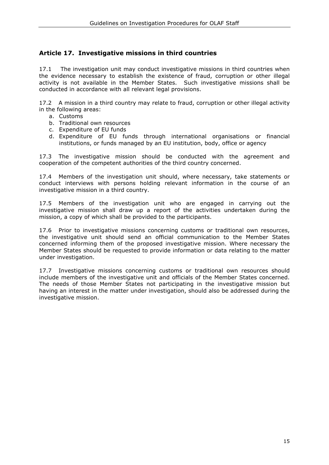# **Article 17. Investigative missions in third countries**

17.1 The investigation unit may conduct investigative missions in third countries when the evidence necessary to establish the existence of fraud, corruption or other illegal activity is not available in the Member States. Such investigative missions shall be conducted in accordance with all relevant legal provisions.

17.2 A mission in a third country may relate to fraud, corruption or other illegal activity in the following areas:

- a. Customs
- b. Traditional own resources
- c. Expenditure of EU funds
- d. Expenditure of EU funds through international organisations or financial institutions, or funds managed by an EU institution, body, office or agency

17.3 The investigative mission should be conducted with the agreement and cooperation of the competent authorities of the third country concerned.

17.4 Members of the investigation unit should, where necessary, take statements or conduct interviews with persons holding relevant information in the course of an investigative mission in a third country.

17.5 Members of the investigation unit who are engaged in carrying out the investigative mission shall draw up a report of the activities undertaken during the mission, a copy of which shall be provided to the participants.

17.6 Prior to investigative missions concerning customs or traditional own resources, the investigative unit should send an official communication to the Member States concerned informing them of the proposed investigative mission. Where necessary the Member States should be requested to provide information or data relating to the matter under investigation.

17.7 Investigative missions concerning customs or traditional own resources should include members of the investigative unit and officials of the Member States concerned. The needs of those Member States not participating in the investigative mission but having an interest in the matter under investigation, should also be addressed during the investigative mission.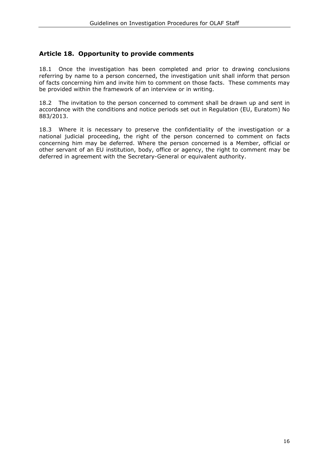## **Article 18. Opportunity to provide comments**

18.1 Once the investigation has been completed and prior to drawing conclusions referring by name to a person concerned, the investigation unit shall inform that person of facts concerning him and invite him to comment on those facts. These comments may be provided within the framework of an interview or in writing.

18.2 The invitation to the person concerned to comment shall be drawn up and sent in accordance with the conditions and notice periods set out in Regulation (EU, Euratom) No 883/2013.

18.3 Where it is necessary to preserve the confidentiality of the investigation or a national judicial proceeding, the right of the person concerned to comment on facts concerning him may be deferred. Where the person concerned is a Member, official or other servant of an EU institution, body, office or agency, the right to comment may be deferred in agreement with the Secretary-General or equivalent authority.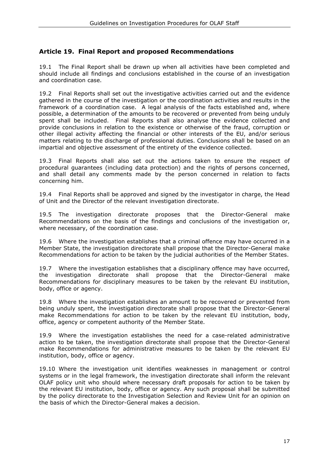# **Article 19. Final Report and proposed Recommendations**

19.1 The Final Report shall be drawn up when all activities have been completed and should include all findings and conclusions established in the course of an investigation and coordination case.

19.2 Final Reports shall set out the investigative activities carried out and the evidence gathered in the course of the investigation or the coordination activities and results in the framework of a coordination case. A legal analysis of the facts established and, where possible, a determination of the amounts to be recovered or prevented from being unduly spent shall be included. Final Reports shall also analyse the evidence collected and provide conclusions in relation to the existence or otherwise of the fraud, corruption or other illegal activity affecting the financial or other interests of the EU, and/or serious matters relating to the discharge of professional duties. Conclusions shall be based on an impartial and objective assessment of the entirety of the evidence collected.

19.3 Final Reports shall also set out the actions taken to ensure the respect of procedural guarantees (including data protection) and the rights of persons concerned, and shall detail any comments made by the person concerned in relation to facts concerning him.

19.4 Final Reports shall be approved and signed by the investigator in charge, the Head of Unit and the Director of the relevant investigation directorate.

19.5 The investigation directorate proposes that the Director-General make Recommendations on the basis of the findings and conclusions of the investigation or, where necessary, of the coordination case.

19.6 Where the investigation establishes that a criminal offence may have occurred in a Member State, the investigation directorate shall propose that the Director-General make Recommendations for action to be taken by the judicial authorities of the Member States.

19.7 Where the investigation establishes that a disciplinary offence may have occurred, the investigation directorate shall propose that the Director-General make Recommendations for disciplinary measures to be taken by the relevant EU institution, body, office or agency.

19.8 Where the investigation establishes an amount to be recovered or prevented from being unduly spent, the investigation directorate shall propose that the Director-General make Recommendations for action to be taken by the relevant EU institution, body, office, agency or competent authority of the Member State.

19.9 Where the investigation establishes the need for a case-related administrative action to be taken, the investigation directorate shall propose that the Director-General make Recommendations for administrative measures to be taken by the relevant EU institution, body, office or agency.

19.10 Where the investigation unit identifies weaknesses in management or control systems or in the legal framework, the investigation directorate shall inform the relevant OLAF policy unit who should where necessary draft proposals for action to be taken by the relevant EU institution, body, office or agency. Any such proposal shall be submitted by the policy directorate to the Investigation Selection and Review Unit for an opinion on the basis of which the Director-General makes a decision.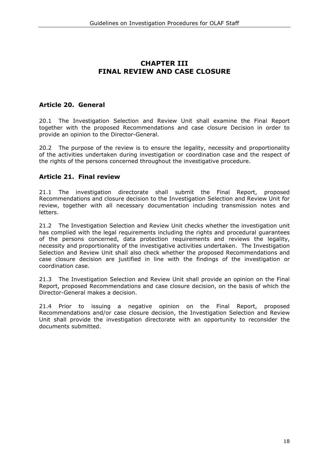# **CHAPTER III FINAL REVIEW AND CASE CLOSURE**

# **Article 20. General**

20.1 The Investigation Selection and Review Unit shall examine the Final Report together with the proposed Recommendations and case closure Decision in order to provide an opinion to the Director-General.

20.2 The purpose of the review is to ensure the legality, necessity and proportionality of the activities undertaken during investigation or coordination case and the respect of the rights of the persons concerned throughout the investigative procedure.

## **Article 21. Final review**

21.1 The investigation directorate shall submit the Final Report, proposed Recommendations and closure decision to the Investigation Selection and Review Unit for review, together with all necessary documentation including transmission notes and letters.

21.2 The Investigation Selection and Review Unit checks whether the investigation unit has complied with the legal requirements including the rights and procedural guarantees of the persons concerned, data protection requirements and reviews the legality, necessity and proportionality of the investigative activities undertaken. The Investigation Selection and Review Unit shall also check whether the proposed Recommendations and case closure decision are justified in line with the findings of the investigation or coordination case.

21.3 The Investigation Selection and Review Unit shall provide an opinion on the Final Report, proposed Recommendations and case closure decision, on the basis of which the Director-General makes a decision.

21.4 Prior to issuing a negative opinion on the Final Report, proposed Recommendations and/or case closure decision, the Investigation Selection and Review Unit shall provide the investigation directorate with an opportunity to reconsider the documents submitted.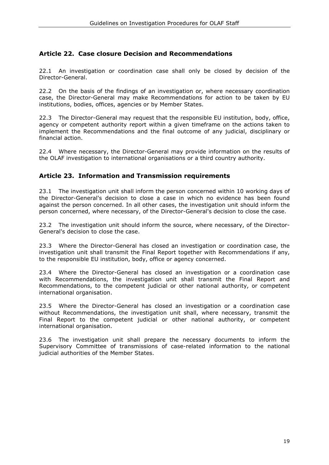# **Article 22. Case closure Decision and Recommendations**

22.1 An investigation or coordination case shall only be closed by decision of the Director-General.

22.2 On the basis of the findings of an investigation or, where necessary coordination case, the Director-General may make Recommendations for action to be taken by EU institutions, bodies, offices, agencies or by Member States.

22.3 The Director-General may request that the responsible EU institution, body, office, agency or competent authority report within a given timeframe on the actions taken to implement the Recommendations and the final outcome of any judicial, disciplinary or financial action.

22.4 Where necessary, the Director-General may provide information on the results of the OLAF investigation to international organisations or a third country authority.

## **Article 23. Information and Transmission requirements**

23.1 The investigation unit shall inform the person concerned within 10 working days of the Director-General's decision to close a case in which no evidence has been found against the person concerned. In all other cases, the investigation unit should inform the person concerned, where necessary, of the Director-General's decision to close the case.

23.2 The investigation unit should inform the source, where necessary, of the Director-General's decision to close the case.

23.3 Where the Director-General has closed an investigation or coordination case, the investigation unit shall transmit the Final Report together with Recommendations if any, to the responsible EU institution, body, office or agency concerned.

23.4 Where the Director-General has closed an investigation or a coordination case with Recommendations, the investigation unit shall transmit the Final Report and Recommendations, to the competent judicial or other national authority, or competent international organisation.

23.5 Where the Director-General has closed an investigation or a coordination case without Recommendations, the investigation unit shall, where necessary, transmit the Final Report to the competent judicial or other national authority, or competent international organisation.

23.6 The investigation unit shall prepare the necessary documents to inform the Supervisory Committee of transmissions of case-related information to the national judicial authorities of the Member States.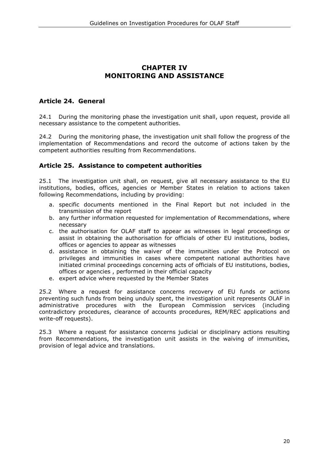# **CHAPTER IV MONITORING AND ASSISTANCE**

# **Article 24. General**

24.1 During the monitoring phase the investigation unit shall, upon request, provide all necessary assistance to the competent authorities.

24.2 During the monitoring phase, the investigation unit shall follow the progress of the implementation of Recommendations and record the outcome of actions taken by the competent authorities resulting from Recommendations.

## **Article 25. Assistance to competent authorities**

25.1 The investigation unit shall, on request, give all necessary assistance to the EU institutions, bodies, offices, agencies or Member States in relation to actions taken following Recommendations, including by providing:

- a. specific documents mentioned in the Final Report but not included in the transmission of the report
- b. any further information requested for implementation of Recommendations, where necessary
- c. the authorisation for OLAF staff to appear as witnesses in legal proceedings or assist in obtaining the authorisation for officials of other EU institutions, bodies, offices or agencies to appear as witnesses
- d. assistance in obtaining the waiver of the immunities under the Protocol on privileges and immunities in cases where competent national authorities have initiated criminal proceedings concerning acts of officials of EU institutions, bodies, offices or agencies , performed in their official capacity
- e. expert advice where requested by the Member States

25.2 Where a request for assistance concerns recovery of EU funds or actions preventing such funds from being unduly spent, the investigation unit represents OLAF in administrative procedures with the European Commission services (including contradictory procedures, clearance of accounts procedures, REM/REC applications and write-off requests).

25.3 Where a request for assistance concerns judicial or disciplinary actions resulting from Recommendations, the investigation unit assists in the waiving of immunities, provision of legal advice and translations.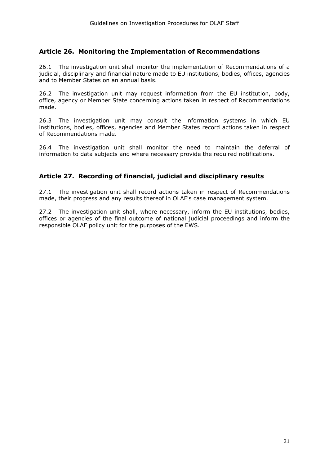## **Article 26. Monitoring the Implementation of Recommendations**

26.1 The investigation unit shall monitor the implementation of Recommendations of a judicial, disciplinary and financial nature made to EU institutions, bodies, offices, agencies and to Member States on an annual basis.

26.2 The investigation unit may request information from the EU institution, body, office, agency or Member State concerning actions taken in respect of Recommendations made.

26.3 The investigation unit may consult the information systems in which EU institutions, bodies, offices, agencies and Member States record actions taken in respect of Recommendations made.

26.4 The investigation unit shall monitor the need to maintain the deferral of information to data subjects and where necessary provide the required notifications.

# **Article 27. Recording of financial, judicial and disciplinary results**

27.1 The investigation unit shall record actions taken in respect of Recommendations made, their progress and any results thereof in OLAF's case management system.

27.2 The investigation unit shall, where necessary, inform the EU institutions, bodies, offices or agencies of the final outcome of national judicial proceedings and inform the responsible OLAF policy unit for the purposes of the EWS.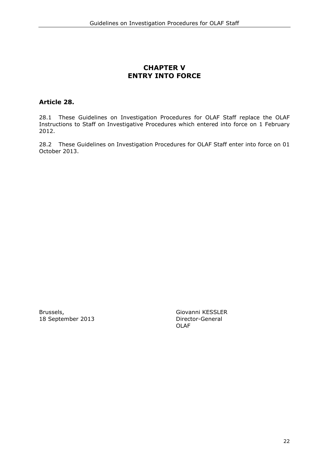# **CHAPTER V ENTRY INTO FORCE**

# **Article 28.**

28.1 These Guidelines on Investigation Procedures for OLAF Staff replace the OLAF Instructions to Staff on Investigative Procedures which entered into force on 1 February 2012.

28.2 These Guidelines on Investigation Procedures for OLAF Staff enter into force on 01 October 2013.

18 September 2013

Brussels, Giovanni KESSLER OLAF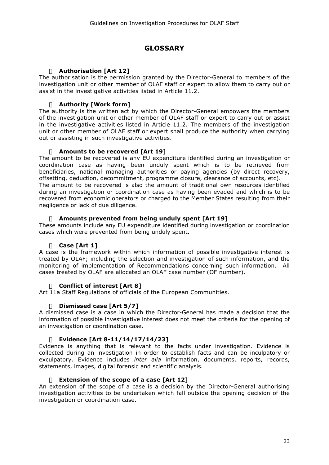# **GLOSSARY**

## **Authorisation [Art 12]**

The authorisation is the permission granted by the Director-General to members of the investigation unit or other member of OLAF staff or expert to allow them to carry out or assist in the investigative activities listed in Article 11.2.

## **Authority [Work form]**

The authority is the written act by which the Director-General empowers the members of the investigation unit or other member of OLAF staff or expert to carry out or assist in the investigative activities listed in Article 11.2. The members of the investigation unit or other member of OLAF staff or expert shall produce the authority when carrying out or assisting in such investigative activities.

## **Amounts to be recovered [Art 19]**

The amount to be recovered is any EU expenditure identified during an investigation or coordination case as having been unduly spent which is to be retrieved from beneficiaries, national managing authorities or paying agencies (by direct recovery, offsetting, deduction, decommitment, programme closure, clearance of accounts, etc). The amount to be recovered is also the amount of traditional own resources identified during an investigation or coordination case as having been evaded and which is to be recovered from economic operators or charged to the Member States resulting from their negligence or lack of due diligence.

## **Amounts prevented from being unduly spent [Art 19]**

These amounts include any EU expenditure identified during investigation or coordination cases which were prevented from being unduly spent.

## **Case [Art 1]**

A case is the framework within which information of possible investigative interest is treated by OLAF; including the selection and investigation of such information, and the monitoring of implementation of Recommendations concerning such information. All cases treated by OLAF are allocated an OLAF case number (OF number).

## **Conflict of interest [Art 8]**

Art 11a Staff Regulations of officials of the European Communities.

#### **Dismissed case [Art 5/7]**

A dismissed case is a case in which the Director-General has made a decision that the information of possible investigative interest does not meet the criteria for the opening of an investigation or coordination case.

#### **Evidence [Art 8-11/14/17/14/23]**

Evidence is anything that is relevant to the facts under investigation. Evidence is collected during an investigation in order to establish facts and can be inculpatory or exculpatory. Evidence includes *inter alia* information, documents, reports, records, statements, images, digital forensic and scientific analysis.

#### **Extension of the scope of a case [Art 12]**

An extension of the scope of a case is a decision by the Director-General authorising investigation activities to be undertaken which fall outside the opening decision of the investigation or coordination case.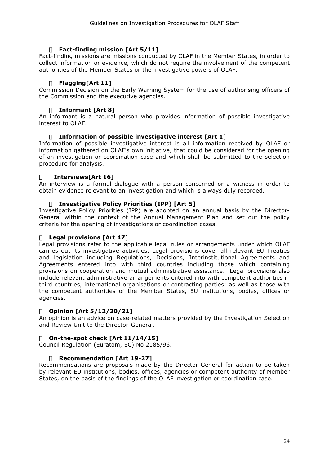## **Fact-finding mission [Art 5/11]**

Fact-finding missions are missions conducted by OLAF in the Member States, in order to collect information or evidence, which do not require the involvement of the competent authorities of the Member States or the investigative powers of OLAF.

## **Flagging[Art 11]**

Commission Decision on the Early Warning System for the use of authorising officers of the Commission and the executive agencies.

## **Informant [Art 8]**

An informant is a natural person who provides information of possible investigative interest to OLAF.

## **Information of possible investigative interest [Art 1]**

Information of possible investigative interest is all information received by OLAF or information gathered on OLAF's own initiative, that could be considered for the opening of an investigation or coordination case and which shall be submitted to the selection procedure for analysis.

#### **Interviews[Art 16]**

An interview is a formal dialogue with a person concerned or a witness in order to obtain evidence relevant to an investigation and which is always duly recorded.

#### **Investigative Policy Priorities (IPP) [Art 5]**

Investigative Policy Priorities (IPP) are adopted on an annual basis by the Director-General within the context of the Annual Management Plan and set out the policy criteria for the opening of investigations or coordination cases.

#### **Legal provisions [Art 17]**

Legal provisions refer to the applicable legal rules or arrangements under which OLAF carries out its investigative activities. Legal provisions cover all relevant EU Treaties and legislation including Regulations, Decisions, Interinstitutional Agreements and Agreements entered into with third countries including those which containing provisions on cooperation and mutual administrative assistance. Legal provisions also include relevant administrative arrangements entered into with competent authorities in third countries, international organisations or contracting parties; as well as those with the competent authorities of the Member States, EU institutions, bodies, offices or agencies.

#### **Opinion [Art 5/12/20/21]**

An opinion is an advice on case-related matters provided by the Investigation Selection and Review Unit to the Director-General.

#### **On-the-spot check [Art 11/14/15]**

Council Regulation (Euratom, EC) No 2185/96.

#### **Recommendation [Art 19-27]**

Recommendations are proposals made by the Director-General for action to be taken by relevant EU institutions, bodies, offices, agencies or competent authority of Member States, on the basis of the findings of the OLAF investigation or coordination case.